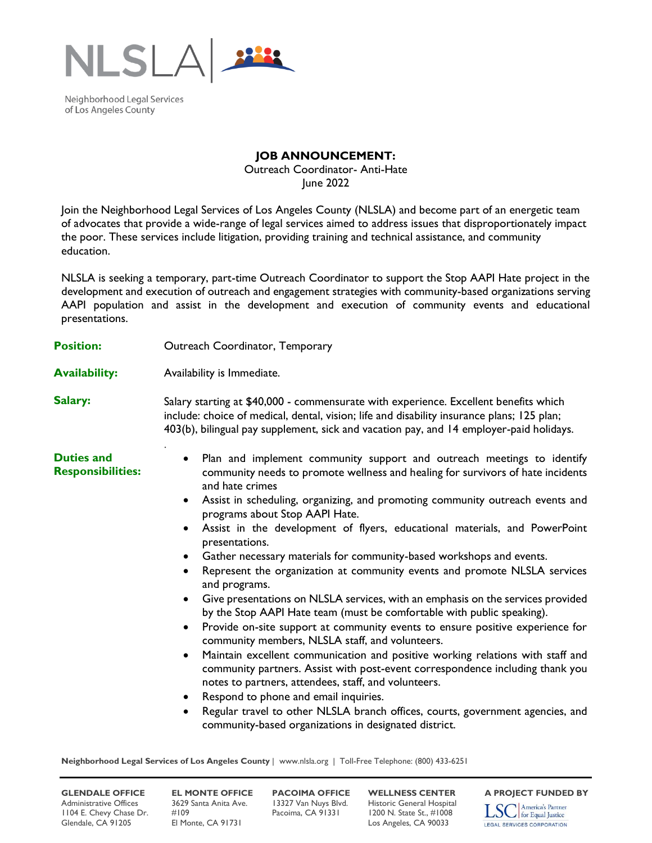

Neighborhood Legal Services of Los Angeles County

## **JOB ANNOUNCEMENT:**

Outreach Coordinator- Anti-Hate June 2022

Join the Neighborhood Legal Services of Los Angeles County (NLSLA) and become part of an energetic team of advocates that provide a wide-range of legal services aimed to address issues that disproportionately impact the poor. These services include litigation, providing training and technical assistance, and community education.

NLSLA is seeking a temporary, part-time Outreach Coordinator to support the Stop AAPI Hate project in the development and execution of outreach and engagement strategies with community-based organizations serving AAPI population and assist in the development and execution of community events and educational presentations.

| <b>Position:</b>                              | Outreach Coordinator, Temporary                                                                                                                                                                                                                                                                                                                                                                                                                                                                                                                                                                                                                                                                                                                                                                                                                                                                                                                                                                                                                                                                                                                                                                                                                                                                                                                                                                                         |
|-----------------------------------------------|-------------------------------------------------------------------------------------------------------------------------------------------------------------------------------------------------------------------------------------------------------------------------------------------------------------------------------------------------------------------------------------------------------------------------------------------------------------------------------------------------------------------------------------------------------------------------------------------------------------------------------------------------------------------------------------------------------------------------------------------------------------------------------------------------------------------------------------------------------------------------------------------------------------------------------------------------------------------------------------------------------------------------------------------------------------------------------------------------------------------------------------------------------------------------------------------------------------------------------------------------------------------------------------------------------------------------------------------------------------------------------------------------------------------------|
| <b>Availability:</b>                          | Availability is Immediate.                                                                                                                                                                                                                                                                                                                                                                                                                                                                                                                                                                                                                                                                                                                                                                                                                                                                                                                                                                                                                                                                                                                                                                                                                                                                                                                                                                                              |
| Salary:                                       | Salary starting at \$40,000 - commensurate with experience. Excellent benefits which<br>include: choice of medical, dental, vision; life and disability insurance plans; 125 plan;<br>403(b), bilingual pay supplement, sick and vacation pay, and 14 employer-paid holidays.                                                                                                                                                                                                                                                                                                                                                                                                                                                                                                                                                                                                                                                                                                                                                                                                                                                                                                                                                                                                                                                                                                                                           |
| <b>Duties and</b><br><b>Responsibilities:</b> | Plan and implement community support and outreach meetings to identify<br>$\bullet$<br>community needs to promote wellness and healing for survivors of hate incidents<br>and hate crimes<br>Assist in scheduling, organizing, and promoting community outreach events and<br>$\bullet$<br>programs about Stop AAPI Hate.<br>Assist in the development of flyers, educational materials, and PowerPoint<br>$\bullet$<br>presentations.<br>Gather necessary materials for community-based workshops and events.<br>$\bullet$<br>Represent the organization at community events and promote NLSLA services<br>$\bullet$<br>and programs.<br>Give presentations on NLSLA services, with an emphasis on the services provided<br>$\bullet$<br>by the Stop AAPI Hate team (must be comfortable with public speaking).<br>Provide on-site support at community events to ensure positive experience for<br>$\bullet$<br>community members, NLSLA staff, and volunteers.<br>Maintain excellent communication and positive working relations with staff and<br>$\bullet$<br>community partners. Assist with post-event correspondence including thank you<br>notes to partners, attendees, staff, and volunteers.<br>Respond to phone and email inquiries.<br>$\bullet$<br>Regular travel to other NLSLA branch offices, courts, government agencies, and<br>$\bullet$<br>community-based organizations in designated district. |

**Neighborhood Legal Services of Los Angeles County** | www.nlsla.org | Toll-Free Telephone: (800) 433-6251

Administrative Offices 3629 Santa Anita Ave. 13327 Van Nuys Blvd. Historic General Hospital<br>1104 E. Chevy Chase Dr. #109 Pacoima, CA 91331 1200 N. State St., #1008 1104 E. Chevy Chase Dr. Glendale, CA 91205 El Monte, CA 91731 Los Angeles, CA 90033

**GLENDALE OFFICE EL MONTE OFFICE PACOIMA OFFICE WELLNESS CENTER A PROJECT FUNDED BY**